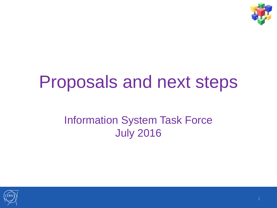

### Proposals and next steps

#### Information System Task Force July 2016

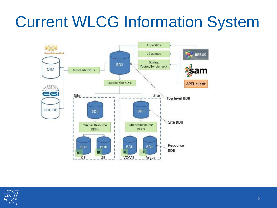### Current WLCG Information System



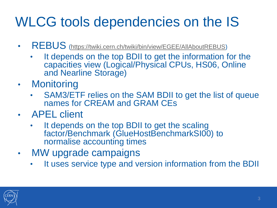#### WLCG tools dependencies on the IS

- REBUS [\(https://twiki.cern.ch/twiki/bin/view/EGEE/AllAboutREBUS\)](https://twiki.cern.ch/twiki/bin/view/EGEE/AllAboutREBUS)
	- It depends on the top BDII to get the information for the capacities view (Logical/Physical CPUs, HS06, Online and Nearline Storage)
- Monitoring
	- SAM3/ETF relies on the SAM BDII to get the list of queue names for CREAM and GRAM CEs
- APEL client
	- It depends on the top BDII to get the scaling factor/Benchmark (GlueHostBenchmarkSI00) to normalise accounting times
- MW upgrade campaigns
	- It uses service type and version information from the BDII

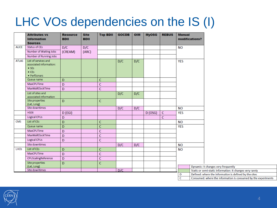#### LHC VOs dependencies on the IS (I)

|              | <b>Attributes vs</b><br><b>Information</b><br><b>Sources</b> | <b>Resource</b><br><b>BDII</b> | <b>Site</b><br><b>BDII</b> | <b>Top BDII</b> | <b>GOCDB</b> | <b>OIM</b> | <b>MyOSG</b> | <b>REBUS</b>   | <b>Manual</b><br>modifications?                                        |  |
|--------------|--------------------------------------------------------------|--------------------------------|----------------------------|-----------------|--------------|------------|--------------|----------------|------------------------------------------------------------------------|--|
| <b>ALICE</b> | Status of CEs                                                | D/C                            | D/C                        |                 |              |            |              |                | <b>NO</b>                                                              |  |
|              | Number of Waiting Jobs                                       | (CREAM)                        | (ARC)                      |                 |              |            |              |                |                                                                        |  |
|              | Number of Running Jobs                                       |                                |                            |                 |              |            |              |                |                                                                        |  |
| <b>ATLAS</b> | List of services and                                         |                                |                            |                 | D/C          | D/C        |              |                | <b>YES</b>                                                             |  |
|              | associated information:                                      |                                |                            |                 |              |            |              |                |                                                                        |  |
|              | $\bullet$ SEs                                                |                                |                            |                 |              |            |              |                |                                                                        |  |
|              | $\bullet$ CEs<br>• PerfSonars                                |                                |                            |                 |              |            |              |                |                                                                        |  |
|              | Queue name                                                   | D                              |                            | $\overline{C}$  |              |            |              |                |                                                                        |  |
|              | MaxCPUTime                                                   | D                              |                            | $\overline{C}$  |              |            |              |                |                                                                        |  |
|              | <b>MaxWallClockTime</b>                                      | $\mathsf{D}$                   |                            | $\overline{C}$  |              |            |              |                |                                                                        |  |
|              | List of sites and<br>associated information                  |                                |                            |                 | D/C          | D/C        |              |                |                                                                        |  |
|              | Site properties<br>(Lat, Long)                               | $\mathsf{D}$                   |                            | $\mathsf{C}$    |              |            |              |                |                                                                        |  |
|              | Site downtimes                                               |                                |                            |                 | D/C          | D/C        |              |                | <b>NO</b>                                                              |  |
|              | <b>HS06</b>                                                  | $D$ (EGI)                      |                            |                 |              |            | D (OSG)      | $\overline{C}$ | <b>YES</b>                                                             |  |
|              | Logical CPUs                                                 | D                              |                            |                 |              |            |              | $\mathsf{C}$   |                                                                        |  |
| <b>CMS</b>   | List of CEs                                                  | D                              |                            | $\mathsf{C}$    |              |            |              |                | <b>NO</b>                                                              |  |
|              | Queue name                                                   | D                              |                            | $\overline{C}$  |              |            |              |                | <b>YES</b>                                                             |  |
|              | MaxCPUTime                                                   | D                              |                            | $\mathsf{C}$    |              |            |              |                |                                                                        |  |
|              | MaxWallClockTime                                             | D                              |                            | $\mathsf C$     |              |            |              |                |                                                                        |  |
|              | Logical CPUs                                                 | D                              |                            | $\overline{C}$  |              |            |              |                |                                                                        |  |
|              | Site downtimes                                               |                                |                            |                 | D/C          | D/C        |              |                | <b>NO</b>                                                              |  |
| LHCb         | List of CEs                                                  | D                              |                            | $\mathsf{C}$    |              |            |              |                | <b>NO</b>                                                              |  |
|              | MaxCPUTime                                                   | D                              |                            | $\mathsf C$     |              |            |              |                |                                                                        |  |
|              | CPUScalingReference                                          | D                              |                            | $\overline{C}$  |              |            |              |                |                                                                        |  |
|              | Site properties                                              | D                              |                            | $\overline{C}$  |              |            |              |                |                                                                        |  |
|              | (Lat, Long)                                                  |                                |                            |                 |              |            |              |                | Dynamic: it changes very freq                                          |  |
|              | Site downtimes                                               |                                |                            |                 | D/C          |            |              |                | Static or semi-static informati<br>Defined: where the information<br>D |  |

|   | Dynamic: it changes very frequently                            |
|---|----------------------------------------------------------------|
|   | Static or semi-static information: it changes very rarely      |
| D | Defined: where the information is defined by the sites         |
| C | Consumed: where the information is consumed by the experiments |

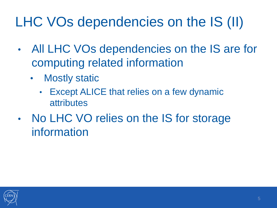#### LHC VOs dependencies on the IS (II)

- All LHC VOs dependencies on the IS are for computing related information
	- Mostly static
		- Except ALICE that relies on a few dynamic attributes
- No LHC VO relies on the IS for storage information

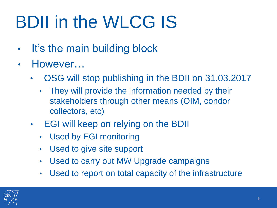# BDII in the WLCG IS

- It's the main building block
- However…
	- OSG will stop publishing in the BDII on 31.03.2017
		- They will provide the information needed by their stakeholders through other means (OIM, condor collectors, etc)
	- EGI will keep on relying on the BDII
		- Used by EGI monitoring
		- Used to give site support
		- Used to carry out MW Upgrade campaigns
		- Used to report on total capacity of the infrastructure

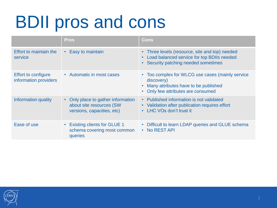## BDII pros and cons

|                                                     | <b>Pros</b>                                                                                  | Cons                                                                                                                                                                 |
|-----------------------------------------------------|----------------------------------------------------------------------------------------------|----------------------------------------------------------------------------------------------------------------------------------------------------------------------|
| Effort to maintain the<br>service                   | • Easy to maintain                                                                           | • Three levels (resource, site and top) needed<br>• Load balanced service for top BDIIs needed<br>• Security patching needed sometimes                               |
| <b>Effort to configure</b><br>information providers | • Automatic in most cases                                                                    | • Too complex for WLCG use cases (mainly service<br>discovery)<br>Many attributes have to be published<br>$\bullet$<br>Only few attributes are consumed<br>$\bullet$ |
| Information quality                                 | • Only place to gather information<br>about site resources (SW<br>versions, capacities, etc) | • Published information is not validated<br>• Validation after publication requires effort<br>• LHC VOs don't trust it                                               |
| Ease of use                                         | <b>Existing clients for GLUE 1</b><br>$\bullet$<br>schema covering most common<br>queries    | • Difficult to learn LDAP queries and GLUE schema<br>• No REST API                                                                                                   |

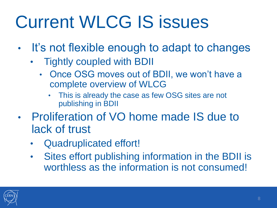# Current WLCG IS issues

- It's not flexible enough to adapt to changes
	- Tightly coupled with BDII
		- Once OSG moves out of BDII, we won't have a complete overview of WLCG
			- This is already the case as few OSG sites are not publishing in BDII
- Proliferation of VO home made IS due to lack of trust
	- Quadruplicated effort!
	- Sites effort publishing information in the BDII is worthless as the information is not consumed!

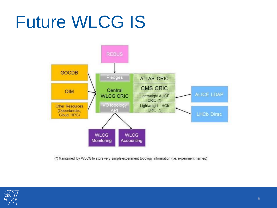## Future WLCG IS



(\*) Maintained by WLCG to store very simple experiment topology information (i.e. experiment names)

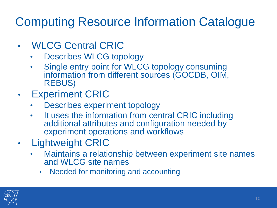#### Computing Resource Information Catalogue

- WLCG Central CRIC
	- Describes WLCG topology
	- Single entry point for WLCG topology consuming information from different sources (GOCDB, OIM, REBUS)
- Experiment CRIC
	- Describes experiment topology
	- It uses the information from central CRIC including additional attributes and configuration needed by experiment operations and workflows
- Lightweight CRIC
	- Maintains a relationship between experiment site names and WLCG site names
		- Needed for monitoring and accounting

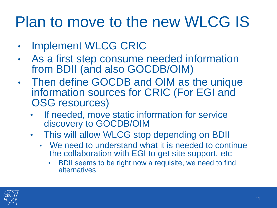#### Plan to move to the new WLCG IS

- **Implement WLCG CRIC**
- As a first step consume needed information from BDII (and also GOCDB/OIM)
- Then define GOCDB and OIM as the unique information sources for CRIC (For EGI and OSG resources)
	- If needed, move static information for service discovery to GOCDB/OIM
	- This will allow WLCG stop depending on BDII
		- We need to understand what it is needed to continue the collaboration with EGI to get site support, etc
			- BDII seems to be right now a requisite, we need to find alternatives

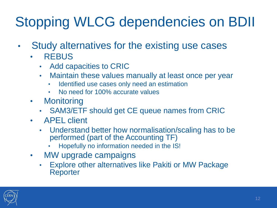#### Stopping WLCG dependencies on BDII

- Study alternatives for the existing use cases
	- REBUS
		- Add capacities to CRIC
		- Maintain these values manually at least once per year
			- Identified use cases only need an estimation
			- No need for 100% accurate values
	- Monitoring
		- SAM3/ETF should get CE queue names from CRIC
	- APEL client
		- Understand better how normalisation/scaling has to be performed (part of the Accounting TF)
			- Hopefully no information needed in the IS!
	- MW upgrade campaigns
		- Explore other alternatives like Pakiti or MW Package Reporter

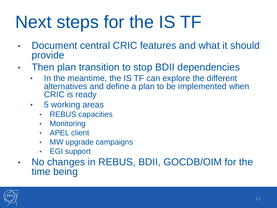## Next steps for the IS TF

- Document central CRIC features and what it should provide
- Then plan transition to stop BDII dependencies
	- In the meantime, the IS TF can explore the different alternatives and define a plan to be implemented when CRIC is ready
	- 5 working areas
		- REBUS capacities
		- Monitoring
		- APEL client
		- MW upgrade campaigns
		- EGI support
- No changes in REBUS, BDII, GOCDB/OIM for the time being

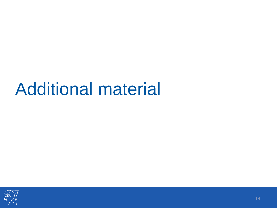### Additional material

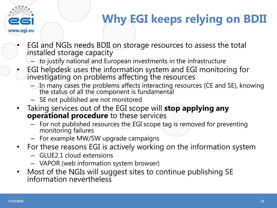

#### **Why EGI keeps relying on BDII**

- EGI and NGIs needs BDII on storage resources to assess the total installed storage capacity
	- to justify national and European investments in the infrastructure
- EGI helpdesk uses the information system and EGI monitoring for investigating on problems affecting the resources
	- In many cases the problems affects interacting resources (CE and SE), knowing the status of all the component is fundamental
	- SE not published are not monitored
- Taking services out of the EGI scope will **stop applying any operational procedure** to these services
	- For not published resources the EGI scope tag is removed for preventing monitoring failures
	- For example MW/SW upgrade campaigns
- For these reasons EGI is actively working on the information system
	- GLUE2.1 cloud extensions
	- VAPOR (web information system browser)
- Most of the NGIs will suggest sites to continue publishing SE information nevertheless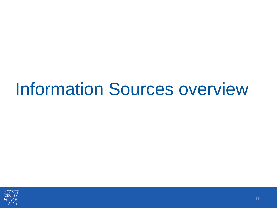### Information Sources overview

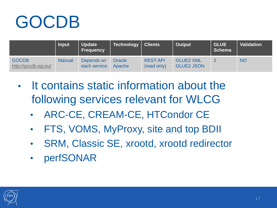# GOCDB

|                                      | <b>Input</b>  | <b>Update</b><br><b>Frequency</b> | Technology       | <b>Clients</b>                | Output                                | <b>GLUE</b><br><b>Schema</b> | <b>Validation</b> |
|--------------------------------------|---------------|-----------------------------------|------------------|-------------------------------|---------------------------------------|------------------------------|-------------------|
| <b>GOCDB</b><br>http://gocdb.egi.eu/ | <b>Manual</b> | Depends on<br>each service        | Oracle<br>Apache | <b>RESTAPI</b><br>(read only) | <b>GLUE2 XML</b><br><b>GLUE2 JSON</b> | റ                            | <b>NO</b>         |

- It contains static information about the following services relevant for WLCG
	- ARC-CE, CREAM-CE, HTCondor CE
	- FTS, VOMS, MyProxy, site and top BDII
	- SRM, Classic SE, xrootd, xrootd redirector
	- perfSONAR

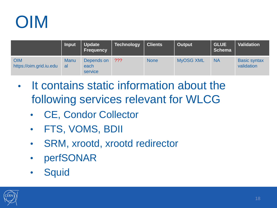

|                                       | <b>Input</b>      | <b>Update</b><br><b>Frequency</b> | <b>Technology</b> | <b>Clients</b> | Output           | <b>GLUE</b><br><b>Schema</b> | <b>Validation</b>                 |
|---------------------------------------|-------------------|-----------------------------------|-------------------|----------------|------------------|------------------------------|-----------------------------------|
| <b>OIM</b><br>https://oim.grid.iu.edu | <b>Manu</b><br>al | Depends on<br>each<br>service     | $?$ ??            | <b>None</b>    | <b>MyOSG XML</b> | <b>NA</b>                    | <b>Basic syntax</b><br>validation |

- It contains static information about the following services relevant for WLCG
	- CE, Condor Collector
	- FTS, VOMS, BDII
	- SRM, xrootd, xrootd redirector
	- perfSONAR
	- Squid

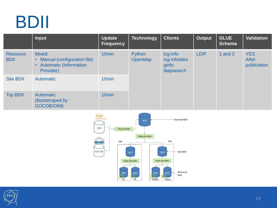

|                                | <b>Input</b>                                                                                     | <b>Update</b><br><b>Frequency</b> | Technology         | <b>Clients</b>                                          | <b>Output</b> | <b>GLUE</b><br><b>Schema</b> | <b>Validation</b>                         |
|--------------------------------|--------------------------------------------------------------------------------------------------|-----------------------------------|--------------------|---------------------------------------------------------|---------------|------------------------------|-------------------------------------------|
| <b>Resource</b><br><b>BDII</b> | Mixed:<br>Manual (configuration file)<br>$\bullet$<br><b>Automatic (Information</b><br>Provider) | 10 <sub>min</sub>                 | Python<br>OpenIdap | lcg-info<br>Icg-infosites<br>ginfo<br><b>Idapsearch</b> | <b>LDIF</b>   | 1 and $2$                    | <b>YES</b><br><b>After</b><br>publication |
| <b>Site BDII</b>               | <b>Automatic</b>                                                                                 | 10 <sub>min</sub>                 |                    |                                                         |               |                              |                                           |
| <b>Top BDII</b>                | <b>Automatic</b><br>(Bootstraped by<br><b>GOCDB/OIM)</b>                                         | 10 <sub>min</sub>                 |                    |                                                         |               |                              |                                           |



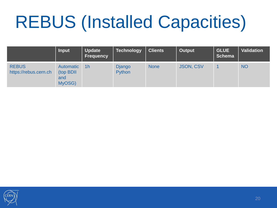# REBUS (Installed Capacities)

|                                       | <b>Input</b>                                    | <b>Update</b><br>Frequency | Technology              | <b>Clients</b> | Output           | <b>GLUE</b><br><b>Schema</b> | <b>Validation</b> |
|---------------------------------------|-------------------------------------------------|----------------------------|-------------------------|----------------|------------------|------------------------------|-------------------|
| <b>REBUS</b><br>https://rebus.cern.ch | <b>Automatic</b><br>(top BDII)<br>and<br>MyOSG) | 1 <sub>h</sub>             | <b>Django</b><br>Python | <b>None</b>    | <b>JSON, CSV</b> |                              | <b>NO</b>         |

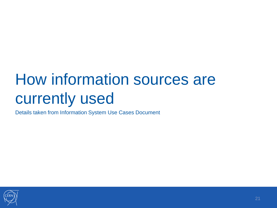### How information sources are currently used

Details taken from Information System Use Cases Document

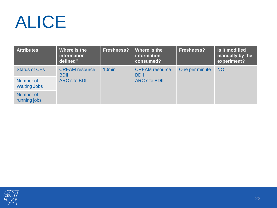## ALICE

| <b>Attributes</b>                | Where is the<br>information<br>defined?                      | <b>Freshness?</b> | Where is the<br>information<br>consumed? | <b>Freshness?</b> | Is it modified<br>manually by the<br>experiment? |
|----------------------------------|--------------------------------------------------------------|-------------------|------------------------------------------|-------------------|--------------------------------------------------|
| <b>Status of CEs</b>             | <b>CREAM</b> resource<br><b>BDII</b><br><b>ARC site BDII</b> | 10 <sub>min</sub> | <b>CREAM</b> resource<br><b>BDII</b>     | One per minute    | <b>NO</b>                                        |
| Number of<br><b>Waiting Jobs</b> |                                                              |                   | <b>ARC site BDII</b>                     |                   |                                                  |
| Number of<br>running jobs        |                                                              |                   |                                          |                   |                                                  |

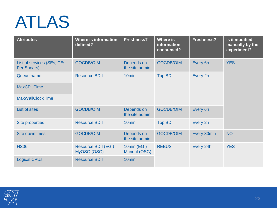## ATLAS

| <b>Attributes</b>                          | <b>Where is information</b><br>defined?   | <b>Freshness?</b>            | <b>Where is</b><br>information<br>consumed? | <b>Freshness?</b> | Is it modified<br>manually by the<br>experiment? |  |
|--------------------------------------------|-------------------------------------------|------------------------------|---------------------------------------------|-------------------|--------------------------------------------------|--|
| List of services (SEs, CEs,<br>PerfSonars) | <b>GOCDB/OIM</b>                          | Depends on<br>the site admin | <b>GOCDB/OIM</b>                            | Every 6h          | <b>YES</b>                                       |  |
| Queue name                                 | <b>Resource BDII</b>                      | 10 <sub>min</sub>            | <b>Top BDII</b>                             | Every 2h          |                                                  |  |
| <b>MaxCPUTime</b>                          |                                           |                              |                                             |                   |                                                  |  |
| <b>MaxWallClockTime</b>                    |                                           |                              |                                             |                   |                                                  |  |
| List of sites                              | <b>GOCDB/OIM</b>                          | Depends on<br>the site admin | <b>GOCDB/OIM</b>                            | Every 6h          |                                                  |  |
| <b>Site properties</b>                     | <b>Resource BDII</b>                      | 10 <sub>min</sub>            | <b>Top BDII</b>                             | Every 2h          |                                                  |  |
| <b>Site downtimes</b>                      | <b>GOCDB/OIM</b>                          | Depends on<br>the site admin | <b>GOCDB/OIM</b>                            | Every 30min       | <b>NO</b>                                        |  |
| <b>HS06</b>                                | <b>Resource BDII (EGI)</b><br>MyOSG (OSG) | 10min (EGI)<br>Manual (OSG)  | <b>REBUS</b>                                | Every 24h         | <b>YES</b>                                       |  |
| <b>Logical CPUs</b>                        | <b>Resource BDII</b>                      | 10 <sub>min</sub>            |                                             |                   |                                                  |  |

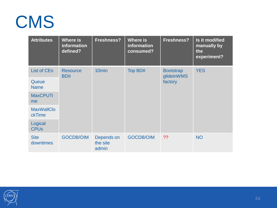### CMS

| <b>Attributes</b>                 | <b>Where is</b><br>information<br>defined? | <b>Freshness?</b>               | Where is<br>information<br>consumed? | <b>Freshness?</b>                         | Is it modified<br>manually by<br>the<br>experiment? |
|-----------------------------------|--------------------------------------------|---------------------------------|--------------------------------------|-------------------------------------------|-----------------------------------------------------|
| <b>List of CEs</b><br>Queue       | <b>Resource</b><br><b>BDII</b>             | 10 <sub>min</sub>               | <b>Top BDII</b>                      | <b>Bootstrap</b><br>glideinWMS<br>factory | <b>YES</b>                                          |
| <b>Name</b>                       |                                            |                                 |                                      |                                           |                                                     |
| <b>MaxCPUTi</b><br>me             |                                            |                                 |                                      |                                           |                                                     |
| <b>MaxWallClo</b><br>ckTime       |                                            |                                 |                                      |                                           |                                                     |
| Logical<br><b>CPU<sub>s</sub></b> |                                            |                                 |                                      |                                           |                                                     |
| <b>Site</b><br>downtimes          | <b>GOCDB/OIM</b>                           | Depends on<br>the site<br>admin | <b>GOCDB/OIM</b>                     | ??                                        | <b>NO</b>                                           |

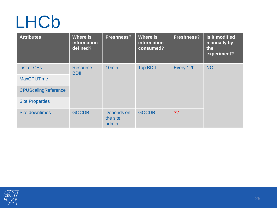### LHCb

| <b>Attributes</b>          | Where is<br>information<br>defined? | <b>Freshness?</b>               | Where is<br>information<br>consumed? | <b>Freshness?</b> | Is it modified<br>manually by<br>the<br>experiment? |
|----------------------------|-------------------------------------|---------------------------------|--------------------------------------|-------------------|-----------------------------------------------------|
| <b>List of CEs</b>         | <b>Resource</b><br><b>BDII</b>      | 10 <sub>min</sub>               | <b>Top BDII</b>                      | Every 12h         | <b>NO</b>                                           |
| <b>MaxCPUTime</b>          |                                     |                                 |                                      |                   |                                                     |
| <b>CPUScalingReference</b> |                                     |                                 |                                      |                   |                                                     |
| <b>Site Properties</b>     |                                     |                                 |                                      |                   |                                                     |
| <b>Site downtimes</b>      | <b>GOCDB</b>                        | Depends on<br>the site<br>admin | <b>GOCDB</b>                         | ??                |                                                     |

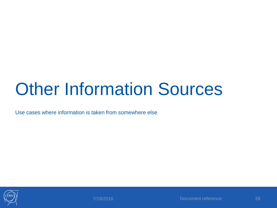## Other Information Sources

Use cases where information is taken from somewhere else

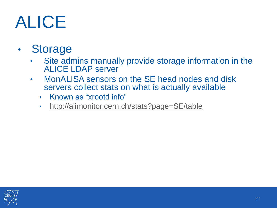## ALICE

#### • Storage

- Site admins manually provide storage information in the ALICE LDAP server
- MonALISA sensors on the SE head nodes and disk servers collect stats on what is actually available
	- Known as "xrootd info"
	- <http://alimonitor.cern.ch/stats?page=SE/table>

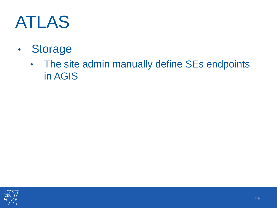## ATLAS

- Storage
	- The site admin manually define SEs endpoints in AGIS

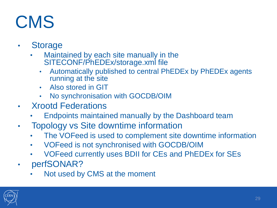## CMS

- **Storage** 
	- Maintained by each site manually in the SITECONF/PhEDEx/storage.xml file
		- Automatically published to central PhEDEx by PhEDEx agents running at the site
		- Also stored in GIT
		- No synchronisation with GOCDB/OIM
- Xrootd Federations
	- Endpoints maintained manually by the Dashboard team
- Topology vs Site downtime information
	- The VOFeed is used to complement site downtime information
	- VOFeed is not synchronised with GOCDB/OIM
	- VOFeed currently uses BDII for CEs and PhEDEx for SEs
- perfSONAR?
	- Not used by CMS at the moment